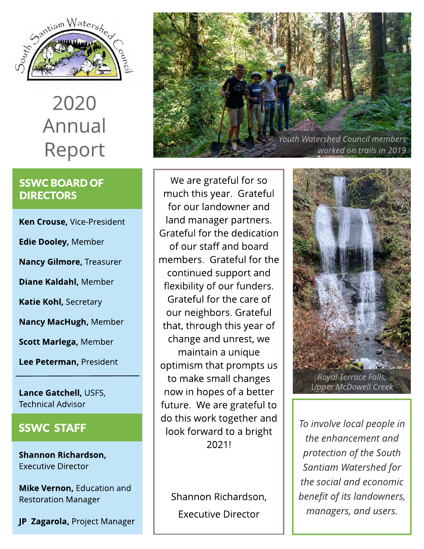

# 2020 Annual Report

#### SSWC BOARD OF **DIRECTORS**

Ken Crouse, Vice-President

Edie Dooley, Member

Nancy Gilmore, Treasurer

Diane Kaldahl, Member

Katie Kohl, Secretary

Nancy MacHugh, Member

Scott Marlega, Member

Lee Peterman, President

Lance Gatchell, USFS, Technical Advisor

#### SSWC STAFF

Shannon Richardson, Executive Director

Mike Vernon, Education and Restoration Manager

JP Zagarola, Project Manager



We are grateful for so much this year. Grateful for our landowner and land manager partners. Grateful for the dedication of our staff and board members. Grateful for the continued support and flexibility of our funders. Grateful for the care of our neighbors. Grateful that, through this year of change and unrest, we maintain a unique optimism that prompts us to make small changes now in hopes of a better future. We are grateful to do this work together and look forward to a bright 2021!

Shannon Richardson, Executive Director



**To involve local people in the enhancement and protection of the South Santiam Watershed for the social and economic benefit of its landowners, managers, and users.**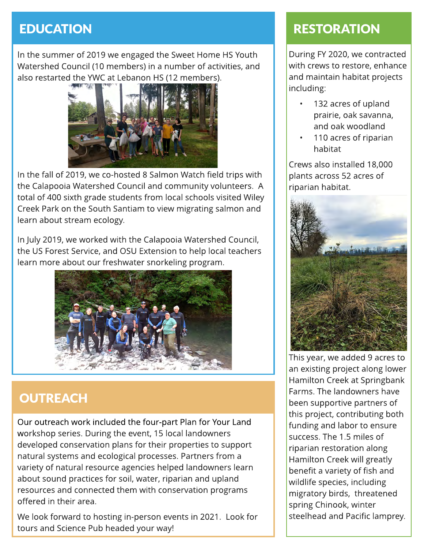## **EDUCATION**

In the summer of 2019 we engaged the Sweet Home HS Youth Watershed Council (10 members) in a number of activities, and also restarted the YWC at Lebanon HS (12 members).



In the fall of 2019, we co-hosted 8 Salmon Watch field trips with the Calapooia Watershed Council and community volunteers. A total of 400 sixth grade students from local schools visited Wiley Creek Park on the South Santiam to view migrating salmon and learn about stream ecology.

In July 2019, we worked with the Calapooia Watershed Council, the US Forest Service, and OSU Extension to help local teachers learn more about our freshwater snorkeling program.



## **OUTREACH**

Our outreach work included the four-part Plan for Your Land workshop series. During the event, 15 local landowners developed conservation plans for their properties to support natural systems and ecological processes. Partners from a variety of natural resource agencies helped landowners learn about sound practices for soil, water, riparian and upland resources and connected them with conservation programs offered in their area.

We look forward to hosting in-person events in 2021. Look for tours and Science Pub headed your way!

## **RESTORATION**

During FY 2020, we contracted with crews to restore, enhance and maintain habitat projects including:

- 132 acres of upland prairie, oak savanna, and oak woodland
- 110 acres of riparian habitat

Crews also installed 18,000 plants across 52 acres of riparian habitat.



This year, we added 9 acres to an existing project along lower Hamilton Creek at Springbank Farms. The landowners have been supportive partners of this project, contributing both funding and labor to ensure success. The 1.5 miles of riparian restoration along Hamilton Creek will greatly benefit a variety of fish and wildlife species, including migratory birds, threatened spring Chinook, winter steelhead and Pacific lamprey.